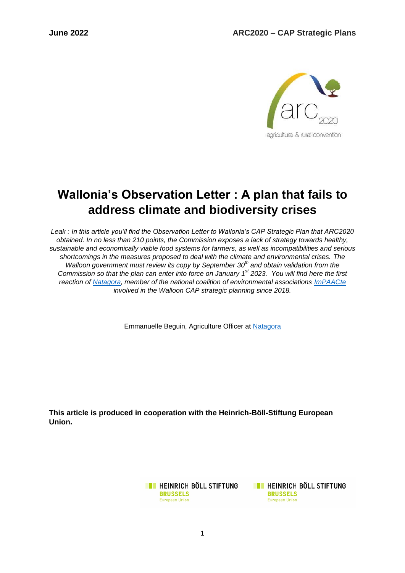

# **Wallonia's Observation Letter : A plan that fails to address climate and biodiversity crises**

*Leak : In this article you'll find the Observation Letter to Wallonia's CAP Strategic Plan that ARC2020 obtained. In no less than 210 points, the Commission exposes a lack of strategy towards healthy, sustainable and economically viable food systems for farmers, as well as incompatibilities and serious shortcomings in the measures proposed to deal with the climate and environmental crises. The Walloon government must review its copy by September 30th and obtain validation from the Commission so that the plan can enter into force on January 1 st 2023. You will find here the first reaction of [Natagora,](https://www.natagora.be/) member of the national coalition of environmental associations [ImPAACte](https://impaacte.be/) involved in the Walloon CAP strategic planning since 2018.* 

Emmanuelle Beguin, Agriculture Officer at [Natagora](http://www.natagora.be/agriculture)

**This article is produced in cooperation with the Heinrich-Böll-Stiftung European Union.**

> **EXECUTE HEINRICH BÖLL STIFTUNG BRUSSELS European Union**

**TE HEINRICH BÖLL STIFTUNG BRUSSELS European Union**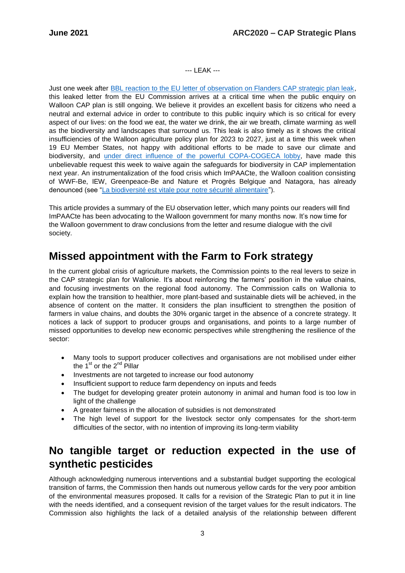#### --- LEAK ---

Just one week after [BBL reaction to the EU letter of observation on Flanders CAP strategic plan leak,](https://www.bondbeterleefmilieu.be/artikel/na-vernietigende-kritiek-op-vlaams-landbouwbeleid-alle-alarmbellen-moeten-afgaan-bij-brouns) this leaked letter from the EU Commission arrives at a critical time when the public enquiry on Walloon CAP plan is still ongoing. We believe it provides an excellent basis for citizens who need a neutral and external advice in order to contribute to this public inquiry which is so critical for every aspect of our lives: on the food we eat, the water we drink, the air we breath, climate warming as well as the biodiversity and landscapes that surround us. This leak is also timely as it shows the critical insufficiencies of the Walloon agriculture policy plan for 2023 to 2027, just at a time this week when 19 EU Member States, not happy with additional efforts to be made to save our climate and biodiversity, and [under direct influence of the powerful COPA-COGECA lobby,](https://twitter.com/JeroenCandel/status/1536416659791134724?s=20&t=6QCL9JveR2dZHctSgFOgBQ) have made this unbelievable request this week to waive again the safeguards for biodiversity in CAP implementation next year. An instrumentalization of the food crisis which ImPAACte, the Walloon coalition consisting of WWF-Be, IEW, Greenpeace-Be and Nature et Progrès Belgique and Natagora, has already denounced (see ["La biodiversité est vitale pour notre sécurité alimentaire"](https://www.lesoir.be/435518/article/2022-04-11/la-biodiversite-est-vitale-pour-notre-securite-alimentaire#:~:text=L)).

This article provides a summary of the EU observation letter, which many points our readers will find ImPAACte has been advocating to the Walloon government for many months now. It's now time for the Walloon government to draw conclusions from the letter and resume dialogue with the civil society.

#### <span id="page-2-0"></span>**Missed appointment with the Farm to Fork strategy**

In the current global crisis of agriculture markets, the Commission points to the real levers to seize in the CAP strategic plan for Wallonie. It's about reinforcing the farmers' position in the value chains, and focusing investments on the regional food autonomy. The Commission calls on Wallonia to explain how the transition to healthier, more plant-based and sustainable diets will be achieved, in the absence of content on the matter. It considers the plan insufficient to strengthen the position of farmers in value chains, and doubts the 30% organic target in the absence of a concrete strategy. It notices a lack of support to producer groups and organisations, and points to a large number of missed opportunities to develop new economic perspectives while strengthening the resilience of the sector:

- Many tools to support producer collectives and organisations are not mobilised under either the  $1<sup>st</sup>$  or the  $2<sup>nd</sup>$  Pillar
- Investments are not targeted to increase our food autonomy
- Insufficient support to reduce farm dependency on inputs and feeds
- The budget for developing greater protein autonomy in animal and human food is too low in light of the challenge
- A greater fairness in the allocation of subsidies is not demonstrated
- The high level of support for the livestock sector only compensates for the short-term difficulties of the sector, with no intention of improving its long-term viability

#### <span id="page-2-1"></span>**No tangible target or reduction expected in the use of synthetic pesticides**

Although acknowledging numerous interventions and a substantial budget supporting the ecological transition of farms, the Commission then hands out numerous yellow cards for the very poor ambition of the environmental measures proposed. It calls for a revision of the Strategic Plan to put it in line with the needs identified, and a consequent revision of the target values for the result indicators. The Commission also highlights the lack of a detailed analysis of the relationship between different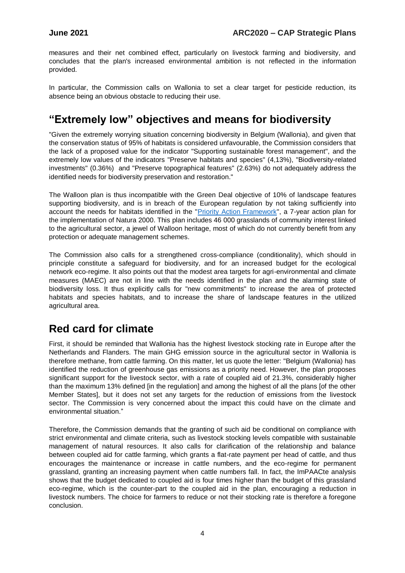measures and their net combined effect, particularly on livestock farming and biodiversity, and concludes that the plan's increased environmental ambition is not reflected in the information provided.

In particular, the Commission calls on Wallonia to set a clear target for pesticide reduction, its absence being an obvious obstacle to reducing their use.

### <span id="page-3-0"></span>**"Extremely low" objectives and means for biodiversity**

"Given the extremely worrying situation concerning biodiversity in Belgium (Wallonia), and given that the conservation status of 95% of habitats is considered unfavourable, the Commission considers that the lack of a proposed value for the indicator "Supporting sustainable forest management", and the extremely low values of the indicators "Preserve habitats and species" (4,13%), "Biodiversity-related investments" (0.36%) and "Preserve topographical features" (2.63%) do not adequately address the identified needs for biodiversity preservation and restoration."

The Walloon plan is thus incompatible with the Green Deal objective of 10% of landscape features supporting biodiversity, and is in breach of the European regulation by not taking sufficiently into account the needs for habitats identified in the ["Priority Action Framework"](https://ec.europa.eu/environment/nature/natura2000/financing/index_en.htm), a 7-year action plan for the implementation of Natura 2000. This plan includes 46 000 grasslands of community interest linked to the agricultural sector, a jewel of Walloon heritage, most of which do not currently benefit from any protection or adequate management schemes.

The Commission also calls for a strengthened cross-compliance (conditionality), which should in principle constitute a safeguard for biodiversity, and for an increased budget for the ecological network eco-regime. It also points out that the modest area targets for agri-environmental and climate measures (MAEC) are not in line with the needs identified in the plan and the alarming state of biodiversity loss. It thus explicitly calls for "new commitments" to increase the area of protected habitats and species habitats, and to increase the share of landscape features in the utilized agricultural area.

#### <span id="page-3-1"></span>**Red card for climate**

First, it should be reminded that Wallonia has the highest livestock stocking rate in Europe after the Netherlands and Flanders. The main GHG emission source in the agricultural sector in Wallonia is therefore methane, from cattle farming. On this matter, let us quote the letter: "Belgium (Wallonia) has identified the reduction of greenhouse gas emissions as a priority need. However, the plan proposes significant support for the livestock sector, with a rate of coupled aid of 21.3%, considerably higher than the maximum 13% defined [in the regulation] and among the highest of all the plans [of the other Member States], but it does not set any targets for the reduction of emissions from the livestock sector. The Commission is very concerned about the impact this could have on the climate and environmental situation."

Therefore, the Commission demands that the granting of such aid be conditional on compliance with strict environmental and climate criteria, such as livestock stocking levels compatible with sustainable management of natural resources. It also calls for clarification of the relationship and balance between coupled aid for cattle farming, which grants a flat-rate payment per head of cattle, and thus encourages the maintenance or increase in cattle numbers, and the eco-regime for permanent grassland, granting an increasing payment when cattle numbers fall. In fact, the ImPAACte analysis shows that the budget dedicated to coupled aid is four times higher than the budget of this grassland eco-regime, which is the counter-part to the coupled aid in the plan, encouraging a reduction in livestock numbers. The choice for farmers to reduce or not their stocking rate is therefore a foregone conclusion.